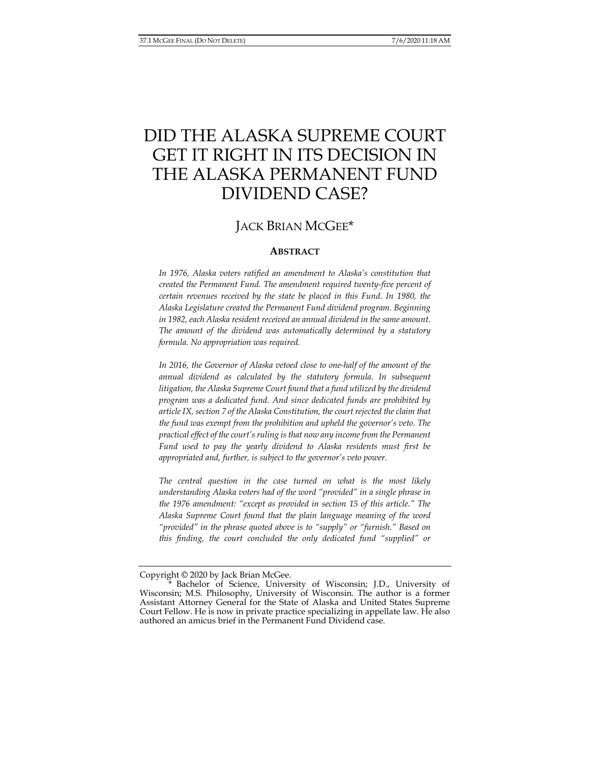# DID THE ALASKA SUPREME COURT GET IT RIGHT IN ITS DECISION IN THE ALASKA PERMANENT FUND DIVIDEND CASE?

## JACK BRIAN MCGEE\*

#### **ABSTRACT**

*In 1976, Alaska voters ratified an amendment to Alaska's constitution that created the Permanent Fund. The amendment required twenty-five percent of certain revenues received by the state be placed in this Fund. In 1980, the Alaska Legislature created the Permanent Fund dividend program. Beginning in 1982, each Alaska resident received an annual dividend in the same amount. The amount of the dividend was automatically determined by a statutory formula. No appropriation was required.* 

*In 2016, the Governor of Alaska vetoed close to one-half of the amount of the annual dividend as calculated by the statutory formula. In subsequent litigation, the Alaska Supreme Court found that a fund utilized by the dividend program was a dedicated fund. And since dedicated funds are prohibited by article IX, section 7 of the Alaska Constitution, the court rejected the claim that the fund was exempt from the prohibition and upheld the governor's veto. The practical effect of the court's ruling is that now any income from the Permanent Fund used to pay the yearly dividend to Alaska residents must first be appropriated and, further, is subject to the governor's veto power.* 

*The central question in the case turned on what is the most likely understanding Alaska voters had of the word "provided" in a single phrase in the 1976 amendment: "except as provided in section 15 of this article." The Alaska Supreme Court found that the plain language meaning of the word "provided" in the phrase quoted above is to "supply" or "furnish." Based on this finding, the court concluded the only dedicated fund "supplied" or* 

Copyright © 2020 by Jack Brian McGee.

Bachelor of Science, University of Wisconsin; J.D., University of Wisconsin; M.S. Philosophy, University of Wisconsin. The author is a former Assistant Attorney General for the State of Alaska and United States Supreme Court Fellow. He is now in private practice specializing in appellate law. He also authored an amicus brief in the Permanent Fund Dividend case.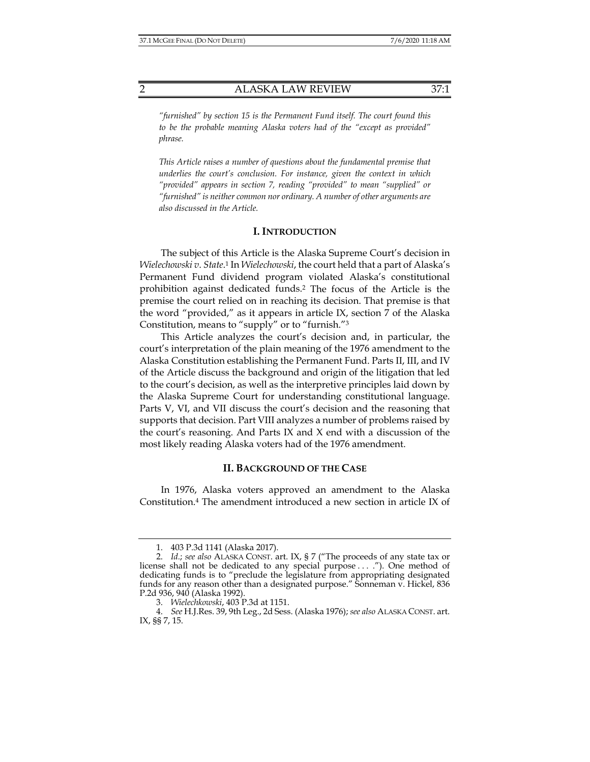*"furnished" by section 15 is the Permanent Fund itself. The court found this to be the probable meaning Alaska voters had of the "except as provided" phrase.* 

*This Article raises a number of questions about the fundamental premise that underlies the court's conclusion. For instance, given the context in which "provided" appears in section 7, reading "provided" to mean "supplied" or "furnished" is neither common nor ordinary. A number of other arguments are also discussed in the Article.* 

#### **I. INTRODUCTION**

The subject of this Article is the Alaska Supreme Court's decision in *Wielechowski v*. *State*. 1 In *Wielechowski*, the court held that a part of Alaska's Permanent Fund dividend program violated Alaska's constitutional prohibition against dedicated funds.2 The focus of the Article is the premise the court relied on in reaching its decision. That premise is that the word "provided," as it appears in article IX, section 7 of the Alaska Constitution, means to "supply" or to "furnish."3

This Article analyzes the court's decision and, in particular, the court's interpretation of the plain meaning of the 1976 amendment to the Alaska Constitution establishing the Permanent Fund. Parts II, III, and IV of the Article discuss the background and origin of the litigation that led to the court's decision, as well as the interpretive principles laid down by the Alaska Supreme Court for understanding constitutional language. Parts V, VI, and VII discuss the court's decision and the reasoning that supports that decision. Part VIII analyzes a number of problems raised by the court's reasoning. And Parts IX and X end with a discussion of the most likely reading Alaska voters had of the 1976 amendment.

#### **II. BACKGROUND OF THE CASE**

In 1976, Alaska voters approved an amendment to the Alaska Constitution.4 The amendment introduced a new section in article IX of

 <sup>1. 403</sup> P.3d 1141 (Alaska 2017).

 <sup>2.</sup> *Id.*; *see also* ALASKA CONST. art. IX, § 7 ("The proceeds of any state tax or license shall not be dedicated to any special purpose . . . ."). One method of dedicating funds is to "preclude the legislature from appropriating designated funds for any reason other than a designated purpose." Sonneman v. Hickel, 836 P.2d 936, 940 (Alaska 1992).

 <sup>3.</sup> *Wielechkowski*, 403 P.3d at 1151.

 <sup>4.</sup> *See* H.J.Res. 39, 9th Leg., 2d Sess. (Alaska 1976); *see also* ALASKA CONST. art. IX, §§ 7, 15.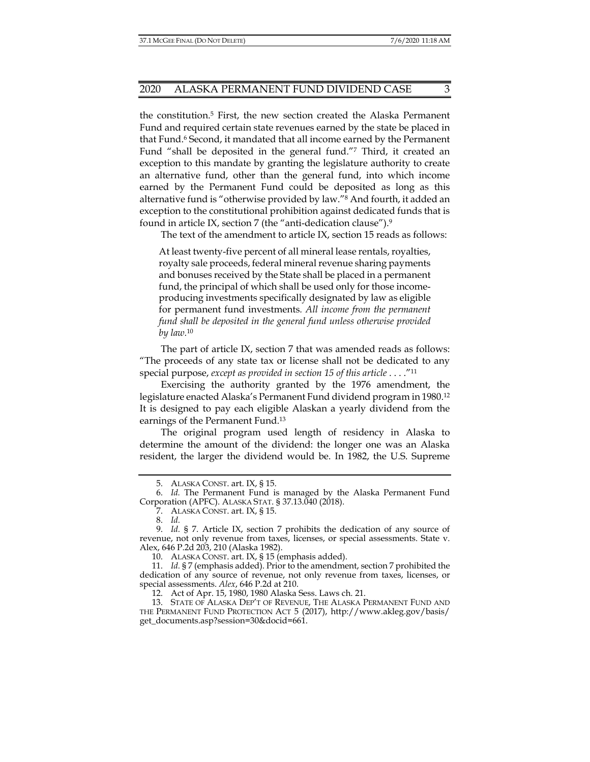the constitution.5 First, the new section created the Alaska Permanent Fund and required certain state revenues earned by the state be placed in that Fund.6 Second, it mandated that all income earned by the Permanent Fund "shall be deposited in the general fund."7 Third, it created an exception to this mandate by granting the legislature authority to create an alternative fund, other than the general fund, into which income earned by the Permanent Fund could be deposited as long as this alternative fund is "otherwise provided by law."8 And fourth, it added an exception to the constitutional prohibition against dedicated funds that is found in article IX, section 7 (the "anti-dedication clause").9

The text of the amendment to article IX, section 15 reads as follows:

At least twenty-five percent of all mineral lease rentals, royalties, royalty sale proceeds, federal mineral revenue sharing payments and bonuses received by the State shall be placed in a permanent fund, the principal of which shall be used only for those incomeproducing investments specifically designated by law as eligible for permanent fund investments*. All income from the permanent fund shall be deposited in the general fund unless otherwise provided by law.*<sup>10</sup>

The part of article IX, section 7 that was amended reads as follows: "The proceeds of any state tax or license shall not be dedicated to any special purpose, *except as provided in section 15 of this article* . . . ."11

Exercising the authority granted by the 1976 amendment, the legislature enacted Alaska's Permanent Fund dividend program in 1980.12 It is designed to pay each eligible Alaskan a yearly dividend from the earnings of the Permanent Fund.13

The original program used length of residency in Alaska to determine the amount of the dividend: the longer one was an Alaska resident, the larger the dividend would be. In 1982, the U.S. Supreme

 <sup>5.</sup> ALASKA CONST. art. IX, § 15.

 <sup>6.</sup> *Id.* The Permanent Fund is managed by the Alaska Permanent Fund Corporation (APFC). ALASKA STAT. § 37.13.040 (2018).

 <sup>7.</sup> ALASKA CONST. art. IX, § 15.

 <sup>8.</sup> *Id.*

 <sup>9.</sup> *Id.* § 7. Article IX, section 7 prohibits the dedication of any source of revenue, not only revenue from taxes, licenses, or special assessments. State v. Alex, 646 P.2d 203, 210 (Alaska 1982).

 <sup>10.</sup> ALASKA CONST. art. IX, § 15 (emphasis added).

 <sup>11.</sup> *Id.* § 7 (emphasis added). Prior to the amendment, section 7 prohibited the dedication of any source of revenue, not only revenue from taxes, licenses, or special assessments. *Alex*, 646 P.2d at 210.

 <sup>12.</sup> Act of Apr. 15, 1980, 1980 Alaska Sess. Laws ch. 21.

 <sup>13.</sup> STATE OF ALASKA DEP'T OF REVENUE, THE ALASKA PERMANENT FUND AND THE PERMANENT FUND PROTECTION ACT 5 (2017), http://www.akleg.gov/basis/ get\_documents.asp?session=30&docid=661.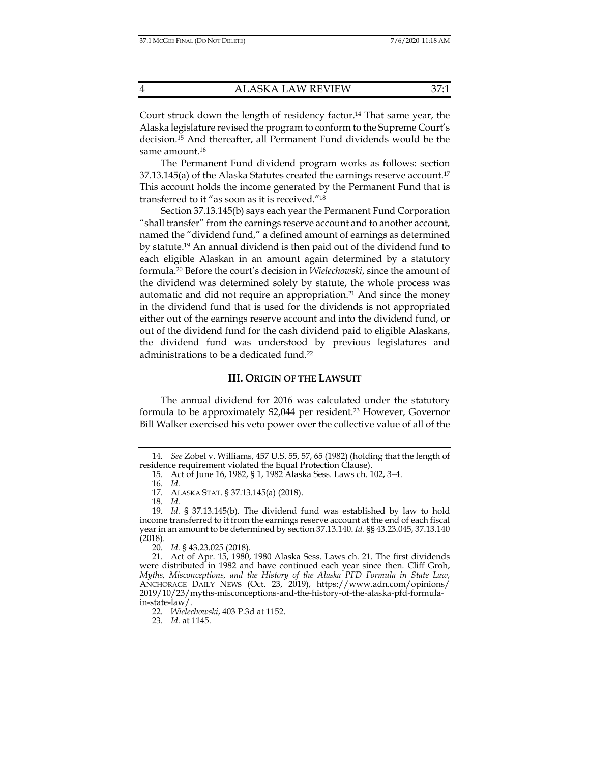Court struck down the length of residency factor.14 That same year, the Alaska legislature revised the program to conform to the Supreme Court's decision.15 And thereafter, all Permanent Fund dividends would be the same amount.16

The Permanent Fund dividend program works as follows: section  $37.13.145$ (a) of the Alaska Statutes created the earnings reserve account.<sup>17</sup> This account holds the income generated by the Permanent Fund that is transferred to it "as soon as it is received."18

Section 37.13.145(b) says each year the Permanent Fund Corporation "shall transfer" from the earnings reserve account and to another account, named the "dividend fund," a defined amount of earnings as determined by statute.19 An annual dividend is then paid out of the dividend fund to each eligible Alaskan in an amount again determined by a statutory formula.20 Before the court's decision in *Wielechowski*, since the amount of the dividend was determined solely by statute, the whole process was automatic and did not require an appropriation.<sup>21</sup> And since the money in the dividend fund that is used for the dividends is not appropriated either out of the earnings reserve account and into the dividend fund, or out of the dividend fund for the cash dividend paid to eligible Alaskans, the dividend fund was understood by previous legislatures and administrations to be a dedicated fund.22

#### **III. ORIGIN OF THE LAWSUIT**

The annual dividend for 2016 was calculated under the statutory formula to be approximately \$2,044 per resident.<sup>23</sup> However, Governor Bill Walker exercised his veto power over the collective value of all of the

 <sup>14.</sup> *See* Zobel v. Williams, 457 U.S. 55, 57, 65 (1982) (holding that the length of residence requirement violated the Equal Protection Clause).

 <sup>15.</sup> Act of June 16, 1982, § 1, 1982 Alaska Sess. Laws ch. 102, 3–4.

 <sup>16.</sup> *Id.*

 <sup>17.</sup> ALASKA STAT. § 37.13.145(a) (2018).

 <sup>18.</sup> *Id.*

 <sup>19.</sup> *Id.* § 37.13.145(b). The dividend fund was established by law to hold income transferred to it from the earnings reserve account at the end of each fiscal year in an amount to be determined by section 37.13.140. *Id.* §§ 43.23.045, 37.13.140 (2018).

 <sup>20.</sup> *Id.* § 43.23.025 (2018).

 <sup>21.</sup> Act of Apr. 15, 1980, 1980 Alaska Sess. Laws ch. 21. The first dividends were distributed in 1982 and have continued each year since then. Cliff Groh, *Myths, Misconceptions, and the History of the Alaska PFD Formula in State Law*, ANCHORAGE DAILY NEWS (Oct. 23, 2019), https://www.adn.com/opinions/ 2019/10/23/myths-misconceptions-and-the-history-of-the-alaska-pfd-formulain-state-law/.

 <sup>22.</sup> *Wielechowski*, 403 P.3d at 1152.

 <sup>23.</sup> *Id.* at 1145.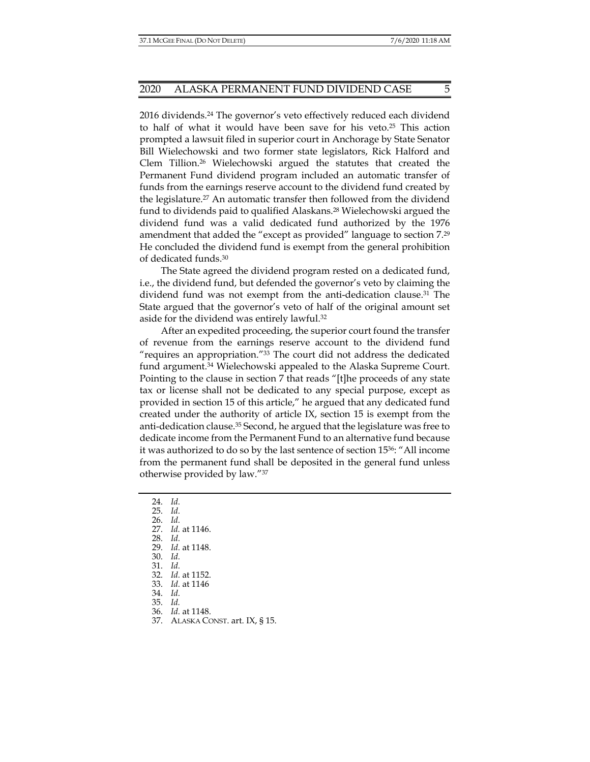2016 dividends.24 The governor's veto effectively reduced each dividend to half of what it would have been save for his veto.25 This action prompted a lawsuit filed in superior court in Anchorage by State Senator Bill Wielechowski and two former state legislators, Rick Halford and Clem Tillion.26 Wielechowski argued the statutes that created the Permanent Fund dividend program included an automatic transfer of funds from the earnings reserve account to the dividend fund created by the legislature.27 An automatic transfer then followed from the dividend fund to dividends paid to qualified Alaskans.28 Wielechowski argued the dividend fund was a valid dedicated fund authorized by the 1976 amendment that added the "except as provided" language to section 7.29 He concluded the dividend fund is exempt from the general prohibition of dedicated funds.30

The State agreed the dividend program rested on a dedicated fund, i.e., the dividend fund, but defended the governor's veto by claiming the dividend fund was not exempt from the anti-dedication clause.31 The State argued that the governor's veto of half of the original amount set aside for the dividend was entirely lawful.32

After an expedited proceeding, the superior court found the transfer of revenue from the earnings reserve account to the dividend fund "requires an appropriation."33 The court did not address the dedicated fund argument.<sup>34</sup> Wielechowski appealed to the Alaska Supreme Court. Pointing to the clause in section 7 that reads "[t]he proceeds of any state tax or license shall not be dedicated to any special purpose, except as provided in section 15 of this article," he argued that any dedicated fund created under the authority of article IX, section 15 is exempt from the anti-dedication clause.35 Second, he argued that the legislature was free to dedicate income from the Permanent Fund to an alternative fund because it was authorized to do so by the last sentence of section 1536: "All income from the permanent fund shall be deposited in the general fund unless otherwise provided by law."37

24. *Id.*

25. *Id.*

26. *Id.*

27. *Id.* at 1146.

28. *Id.*

29. *Id.* at 1148.

30. *Id.*

31. *Id.*

32. *Id.* at 1152.

33. *Id.* at 1146

34. *Id.*

35. *Id.* 

36. *Id.* at 1148.

37. ALASKA CONST. art. IX, § 15.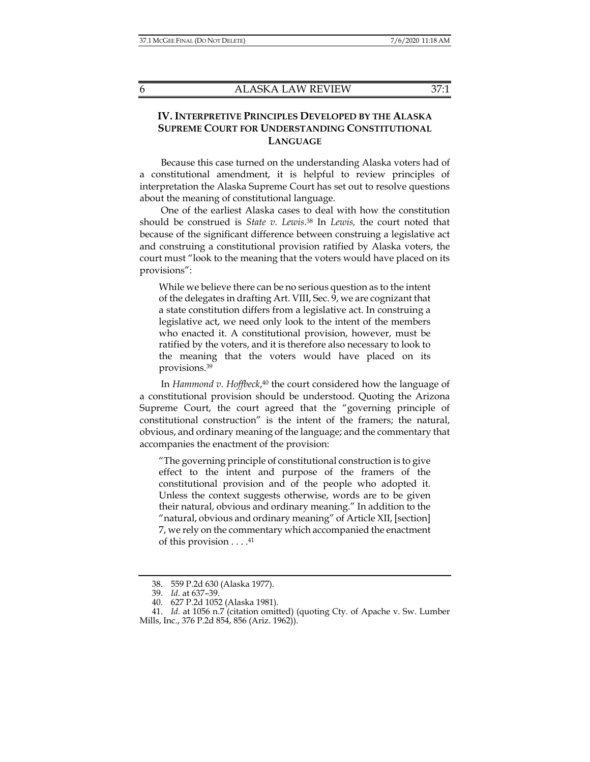## **IV. INTERPRETIVE PRINCIPLES DEVELOPED BY THE ALASKA SUPREME COURT FOR UNDERSTANDING CONSTITUTIONAL LANGUAGE**

Because this case turned on the understanding Alaska voters had of a constitutional amendment, it is helpful to review principles of interpretation the Alaska Supreme Court has set out to resolve questions about the meaning of constitutional language.

One of the earliest Alaska cases to deal with how the constitution should be construed is *State v. Lewis*. 38 In *Lewis,* the court noted that because of the significant difference between construing a legislative act and construing a constitutional provision ratified by Alaska voters, the court must "look to the meaning that the voters would have placed on its provisions":

While we believe there can be no serious question as to the intent of the delegates in drafting Art. VIII, Sec. 9, we are cognizant that a state constitution differs from a legislative act. In construing a legislative act, we need only look to the intent of the members who enacted it. A constitutional provision, however, must be ratified by the voters, and it is therefore also necessary to look to the meaning that the voters would have placed on its provisions.39

In *Hammond v. Hoffbeck*,<sup>40</sup> the court considered how the language of a constitutional provision should be understood. Quoting the Arizona Supreme Court, the court agreed that the "governing principle of constitutional construction" is the intent of the framers; the natural, obvious, and ordinary meaning of the language; and the commentary that accompanies the enactment of the provision:

"The governing principle of constitutional construction is to give effect to the intent and purpose of the framers of the constitutional provision and of the people who adopted it. Unless the context suggests otherwise, words are to be given their natural, obvious and ordinary meaning." In addition to the "natural, obvious and ordinary meaning" of Article XII, [section] 7, we rely on the commentary which accompanied the enactment of this provision  $\dots$ .<sup>41</sup>

 <sup>38. 559</sup> P.2d 630 (Alaska 1977).

 <sup>39.</sup> *Id.* at 637–39.

 <sup>40. 627</sup> P.2d 1052 (Alaska 1981).

 <sup>41.</sup> *Id.* at 1056 n.7 (citation omitted) (quoting Cty. of Apache v. Sw. Lumber Mills, Inc., 376 P.2d 854, 856 (Ariz. 1962)).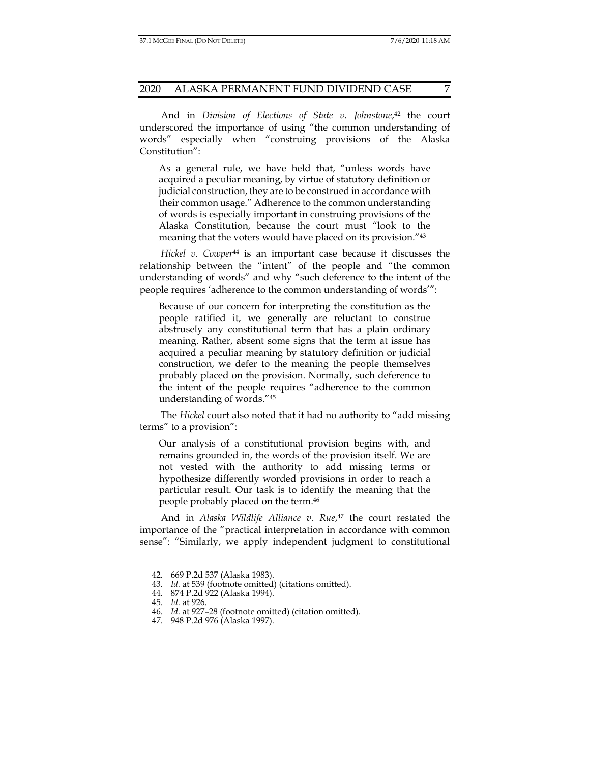And in *Division of Elections of State v. Johnstone*, 42 the court underscored the importance of using "the common understanding of words" especially when "construing provisions of the Alaska Constitution":

As a general rule, we have held that, "unless words have acquired a peculiar meaning, by virtue of statutory definition or judicial construction, they are to be construed in accordance with their common usage." Adherence to the common understanding of words is especially important in construing provisions of the Alaska Constitution, because the court must "look to the meaning that the voters would have placed on its provision."43

*Hickel v. Cowper*<sup>44</sup> is an important case because it discusses the relationship between the "intent" of the people and "the common understanding of words" and why "such deference to the intent of the people requires 'adherence to the common understanding of words'":

Because of our concern for interpreting the constitution as the people ratified it, we generally are reluctant to construe abstrusely any constitutional term that has a plain ordinary meaning. Rather, absent some signs that the term at issue has acquired a peculiar meaning by statutory definition or judicial construction, we defer to the meaning the people themselves probably placed on the provision. Normally, such deference to the intent of the people requires "adherence to the common understanding of words."45

The *Hickel* court also noted that it had no authority to "add missing terms" to a provision":

Our analysis of a constitutional provision begins with, and remains grounded in, the words of the provision itself. We are not vested with the authority to add missing terms or hypothesize differently worded provisions in order to reach a particular result. Our task is to identify the meaning that the people probably placed on the term.46

And in *Alaska Wildlife Alliance v. Rue*, 47 the court restated the importance of the "practical interpretation in accordance with common sense": "Similarly, we apply independent judgment to constitutional

 <sup>42. 669</sup> P.2d 537 (Alaska 1983).

 <sup>43.</sup> *Id.* at 539 (footnote omitted) (citations omitted).

 <sup>44. 874</sup> P.2d 922 (Alaska 1994).

 <sup>45.</sup> *Id.* at 926.

 <sup>46.</sup> *Id.* at 927–28 (footnote omitted) (citation omitted).

 <sup>47. 948</sup> P.2d 976 (Alaska 1997).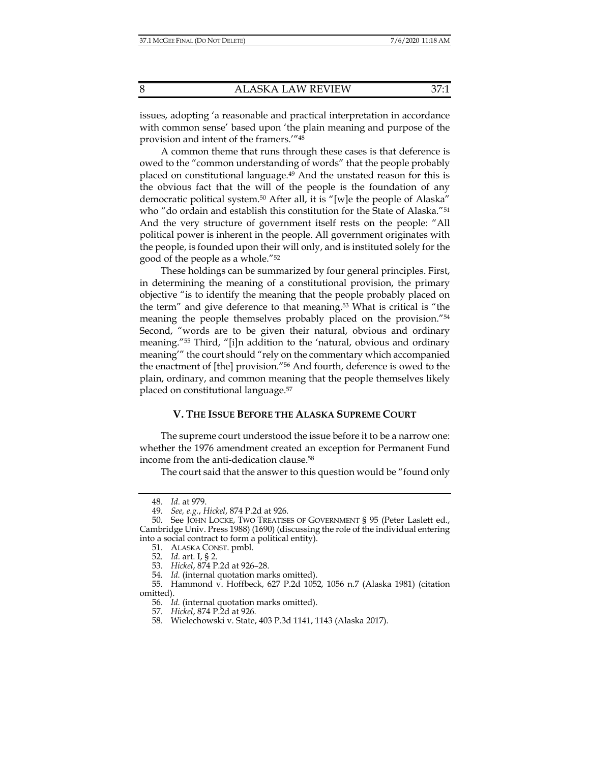issues, adopting 'a reasonable and practical interpretation in accordance with common sense' based upon 'the plain meaning and purpose of the provision and intent of the framers.'"48

A common theme that runs through these cases is that deference is owed to the "common understanding of words" that the people probably placed on constitutional language.49 And the unstated reason for this is the obvious fact that the will of the people is the foundation of any democratic political system.50 After all, it is "[w]e the people of Alaska" who "do ordain and establish this constitution for the State of Alaska."<sup>51</sup> And the very structure of government itself rests on the people: "All political power is inherent in the people. All government originates with the people, is founded upon their will only, and is instituted solely for the good of the people as a whole."52

These holdings can be summarized by four general principles. First, in determining the meaning of a constitutional provision, the primary objective "is to identify the meaning that the people probably placed on the term" and give deference to that meaning.53 What is critical is "the meaning the people themselves probably placed on the provision."54 Second, "words are to be given their natural, obvious and ordinary meaning."55 Third, "[i]n addition to the 'natural, obvious and ordinary meaning'" the court should "rely on the commentary which accompanied the enactment of [the] provision."56 And fourth, deference is owed to the plain, ordinary, and common meaning that the people themselves likely placed on constitutional language.57

#### **V. THE ISSUE BEFORE THE ALASKA SUPREME COURT**

The supreme court understood the issue before it to be a narrow one: whether the 1976 amendment created an exception for Permanent Fund income from the anti-dedication clause.58

The court said that the answer to this question would be "found only

 <sup>48.</sup> *Id.* at 979.

 <sup>49.</sup> *See, e.g.*, *Hickel*, 874 P.2d at 926.

 <sup>50.</sup> See JOHN LOCKE, TWO TREATISES OF GOVERNMENT § 95 (Peter Laslett ed., Cambridge Univ. Press 1988) (1690) (discussing the role of the individual entering into a social contract to form a political entity).

 <sup>51.</sup> ALASKA CONST. pmbl.

 <sup>52.</sup> *Id.* art. I, § 2.

 <sup>53.</sup> *Hickel*, 874 P.2d at 926–28.

 <sup>54.</sup> *Id.* (internal quotation marks omitted).

 <sup>55.</sup> Hammond v. Hoffbeck, 627 P.2d 1052, 1056 n.7 (Alaska 1981) (citation omitted).

 <sup>56.</sup> *Id.* (internal quotation marks omitted).

 <sup>57.</sup> *Hickel*, 874 P.2d at 926.

 <sup>58.</sup> Wielechowski v. State, 403 P.3d 1141, 1143 (Alaska 2017).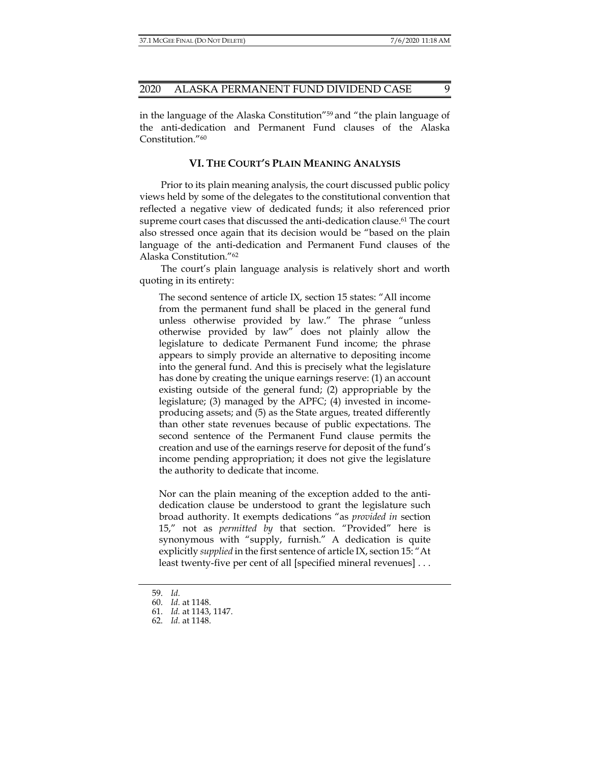in the language of the Alaska Constitution"59 and "the plain language of the anti-dedication and Permanent Fund clauses of the Alaska Constitution."60

#### **VI. THE COURT'S PLAIN MEANING ANALYSIS**

Prior to its plain meaning analysis, the court discussed public policy views held by some of the delegates to the constitutional convention that reflected a negative view of dedicated funds; it also referenced prior supreme court cases that discussed the anti-dedication clause.<sup>61</sup> The court also stressed once again that its decision would be "based on the plain language of the anti-dedication and Permanent Fund clauses of the Alaska Constitution."62

The court's plain language analysis is relatively short and worth quoting in its entirety:

The second sentence of article IX, section 15 states: "All income from the permanent fund shall be placed in the general fund unless otherwise provided by law." The phrase "unless otherwise provided by law" does not plainly allow the legislature to dedicate Permanent Fund income; the phrase appears to simply provide an alternative to depositing income into the general fund. And this is precisely what the legislature has done by creating the unique earnings reserve: (1) an account existing outside of the general fund; (2) appropriable by the legislature; (3) managed by the APFC; (4) invested in incomeproducing assets; and (5) as the State argues, treated differently than other state revenues because of public expectations. The second sentence of the Permanent Fund clause permits the creation and use of the earnings reserve for deposit of the fund's income pending appropriation; it does not give the legislature the authority to dedicate that income.

Nor can the plain meaning of the exception added to the antidedication clause be understood to grant the legislature such broad authority. It exempts dedications "as *provided in* section 15," not as *permitted by* that section. "Provided" here is synonymous with "supply, furnish." A dedication is quite explicitly *supplied* in the first sentence of article IX, section 15: "At least twenty-five per cent of all [specified mineral revenues] . . .

 <sup>59.</sup> *Id.*

 <sup>60.</sup> *Id.* at 1148.

 <sup>61.</sup> *Id.* at 1143, 1147.

 <sup>62.</sup> *Id.* at 1148.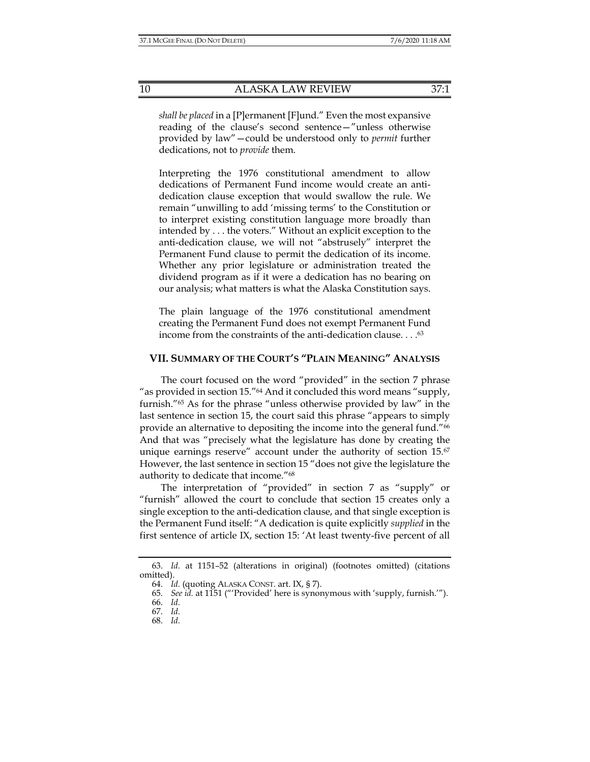*shall be placed* in a [P]ermanent [F]und." Even the most expansive reading of the clause's second sentence—"unless otherwise provided by law"—could be understood only to *permit* further dedications, not to *provide* them.

Interpreting the 1976 constitutional amendment to allow dedications of Permanent Fund income would create an antidedication clause exception that would swallow the rule. We remain "unwilling to add 'missing terms' to the Constitution or to interpret existing constitution language more broadly than intended by . . . the voters." Without an explicit exception to the anti-dedication clause, we will not "abstrusely" interpret the Permanent Fund clause to permit the dedication of its income. Whether any prior legislature or administration treated the dividend program as if it were a dedication has no bearing on our analysis; what matters is what the Alaska Constitution says.

The plain language of the 1976 constitutional amendment creating the Permanent Fund does not exempt Permanent Fund income from the constraints of the anti-dedication clause. . . .63

#### **VII. SUMMARY OF THE COURT'S "PLAIN MEANING" ANALYSIS**

The court focused on the word "provided" in the section 7 phrase "as provided in section 15."64 And it concluded this word means "supply, furnish."65 As for the phrase "unless otherwise provided by law" in the last sentence in section 15, the court said this phrase "appears to simply provide an alternative to depositing the income into the general fund."66 And that was "precisely what the legislature has done by creating the unique earnings reserve" account under the authority of section 15.<sup>67</sup> However, the last sentence in section 15 "does not give the legislature the authority to dedicate that income."68

The interpretation of "provided" in section 7 as "supply" or "furnish" allowed the court to conclude that section 15 creates only a single exception to the anti-dedication clause, and that single exception is the Permanent Fund itself: "A dedication is quite explicitly *supplied* in the first sentence of article IX, section 15: 'At least twenty-five percent of all

 <sup>63.</sup> *Id.* at 1151–52 (alterations in original) (footnotes omitted) (citations omitted).

 <sup>64.</sup> *Id.* (quoting ALASKA CONST. art. IX, § 7).

 <sup>65.</sup> *See id.* at 1151 ("'Provided' here is synonymous with 'supply, furnish.'").

 <sup>66.</sup> *Id.*

 <sup>67.</sup> *Id.*

 <sup>68.</sup> *Id.*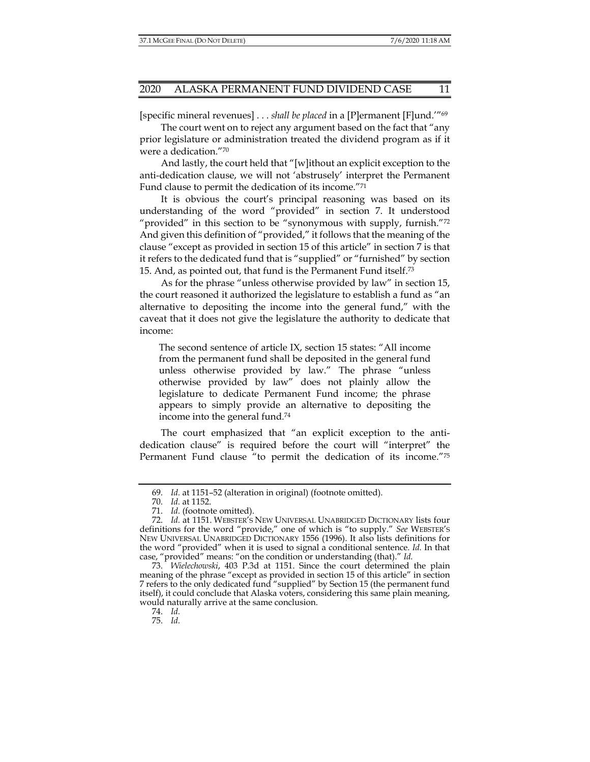[specific mineral revenues] . . . *shall be placed* in a [P]ermanent [F]und.'"69

The court went on to reject any argument based on the fact that "any prior legislature or administration treated the dividend program as if it were a dedication."70

And lastly, the court held that "[w]ithout an explicit exception to the anti-dedication clause, we will not 'abstrusely' interpret the Permanent Fund clause to permit the dedication of its income."71

It is obvious the court's principal reasoning was based on its understanding of the word "provided" in section 7. It understood "provided" in this section to be "synonymous with supply, furnish."72 And given this definition of "provided," it follows that the meaning of the clause "except as provided in section 15 of this article" in section 7 is that it refers to the dedicated fund that is "supplied" or "furnished" by section 15. And, as pointed out, that fund is the Permanent Fund itself.73

As for the phrase "unless otherwise provided by law" in section 15, the court reasoned it authorized the legislature to establish a fund as "an alternative to depositing the income into the general fund," with the caveat that it does not give the legislature the authority to dedicate that income:

The second sentence of article IX, section 15 states: "All income from the permanent fund shall be deposited in the general fund unless otherwise provided by law." The phrase "unless otherwise provided by law" does not plainly allow the legislature to dedicate Permanent Fund income; the phrase appears to simply provide an alternative to depositing the income into the general fund*.* 74

The court emphasized that "an explicit exception to the antidedication clause" is required before the court will "interpret" the Permanent Fund clause "to permit the dedication of its income."75

74. *Id.*

75. *Id.*

 <sup>69.</sup> *Id.* at 1151–52 (alteration in original) (footnote omitted).

 <sup>70.</sup> *Id.* at 1152.

 <sup>71.</sup> *Id.* (footnote omitted).

 <sup>72.</sup> *Id.* at 1151. WEBSTER'S NEW UNIVERSAL UNABRIDGED DICTIONARY lists four definitions for the word "provide," one of which is "to supply." *See* WEBSTER'S NEW UNIVERSAL UNABRIDGED DICTIONARY 1556 (1996). It also lists definitions for the word "provided" when it is used to signal a conditional sentence. *Id.* In that case, "provided" means: "on the condition or understanding (that)." *Id.*

 <sup>73.</sup> *Wielechowski*, 403 P.3d at 1151. Since the court determined the plain meaning of the phrase "except as provided in section 15 of this article" in section 7 refers to the only dedicated fund "supplied" by Section 15 (the permanent fund itself), it could conclude that Alaska voters, considering this same plain meaning, would naturally arrive at the same conclusion.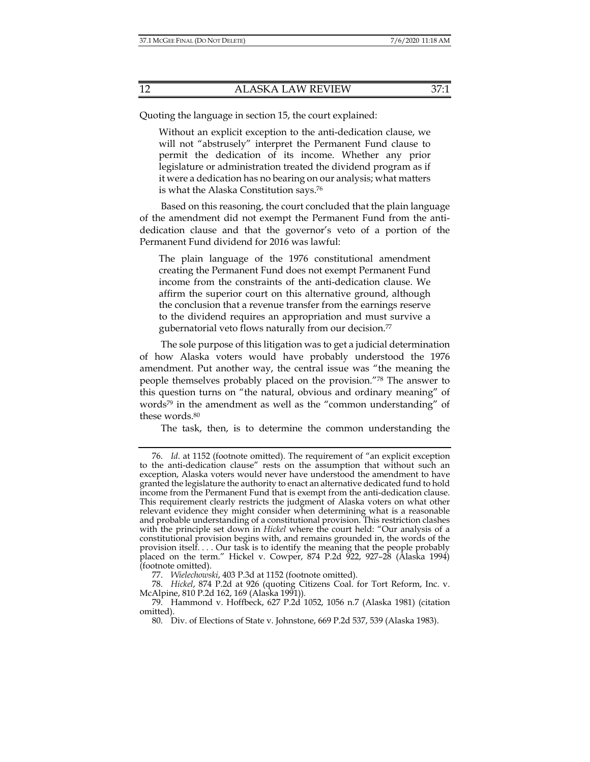Quoting the language in section 15, the court explained:

Without an explicit exception to the anti-dedication clause, we will not "abstrusely" interpret the Permanent Fund clause to permit the dedication of its income. Whether any prior legislature or administration treated the dividend program as if it were a dedication has no bearing on our analysis; what matters is what the Alaska Constitution says.76

Based on this reasoning, the court concluded that the plain language of the amendment did not exempt the Permanent Fund from the antidedication clause and that the governor's veto of a portion of the Permanent Fund dividend for 2016 was lawful:

The plain language of the 1976 constitutional amendment creating the Permanent Fund does not exempt Permanent Fund income from the constraints of the anti-dedication clause. We affirm the superior court on this alternative ground, although the conclusion that a revenue transfer from the earnings reserve to the dividend requires an appropriation and must survive a gubernatorial veto flows naturally from our decision.77

The sole purpose of this litigation was to get a judicial determination of how Alaska voters would have probably understood the 1976 amendment. Put another way, the central issue was "the meaning the people themselves probably placed on the provision."78 The answer to this question turns on "the natural, obvious and ordinary meaning" of words<sup>79</sup> in the amendment as well as the "common understanding" of these words.<sup>80</sup>

The task, then, is to determine the common understanding the

 <sup>76.</sup> *Id.* at 1152 (footnote omitted). The requirement of "an explicit exception to the anti-dedication clause" rests on the assumption that without such an exception, Alaska voters would never have understood the amendment to have granted the legislature the authority to enact an alternative dedicated fund to hold income from the Permanent Fund that is exempt from the anti-dedication clause. This requirement clearly restricts the judgment of Alaska voters on what other relevant evidence they might consider when determining what is a reasonable and probable understanding of a constitutional provision. This restriction clashes with the principle set down in *Hickel* where the court held: "Our analysis of a constitutional provision begins with, and remains grounded in, the words of the provision itself. . . . Our task is to identify the meaning that the people probably placed on the term." Hickel v. Cowper, 874 P.2d 922, 927–28 (Alaska 1994) (footnote omitted).

 <sup>77.</sup> *Wielechowski*, 403 P.3d at 1152 (footnote omitted).

 <sup>78.</sup> *Hickel*, 874 P.2d at 926 (quoting Citizens Coal. for Tort Reform, Inc. v. McAlpine, 810 P.2d 162, 169 (Alaska 1991))*.*

 <sup>79.</sup> Hammond v. Hoffbeck, 627 P.2d 1052, 1056 n.7 (Alaska 1981) (citation omitted).

 <sup>80.</sup> Div. of Elections of State v. Johnstone, 669 P.2d 537, 539 (Alaska 1983).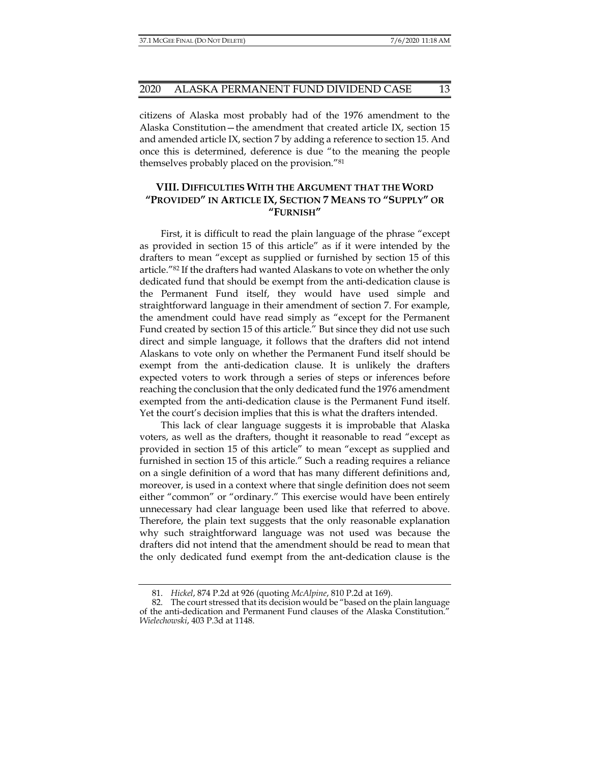citizens of Alaska most probably had of the 1976 amendment to the Alaska Constitution—the amendment that created article IX, section 15 and amended article IX, section 7 by adding a reference to section 15. And once this is determined, deference is due "to the meaning the people themselves probably placed on the provision."81

## **VIII. DIFFICULTIES WITH THE ARGUMENT THAT THE WORD "PROVIDED" IN ARTICLE IX, SECTION 7 MEANS TO "SUPPLY" OR "FURNISH"**

First, it is difficult to read the plain language of the phrase "except as provided in section 15 of this article" as if it were intended by the drafters to mean "except as supplied or furnished by section 15 of this article."82 If the drafters had wanted Alaskans to vote on whether the only dedicated fund that should be exempt from the anti-dedication clause is the Permanent Fund itself, they would have used simple and straightforward language in their amendment of section 7. For example, the amendment could have read simply as "except for the Permanent Fund created by section 15 of this article." But since they did not use such direct and simple language, it follows that the drafters did not intend Alaskans to vote only on whether the Permanent Fund itself should be exempt from the anti-dedication clause. It is unlikely the drafters expected voters to work through a series of steps or inferences before reaching the conclusion that the only dedicated fund the 1976 amendment exempted from the anti-dedication clause is the Permanent Fund itself. Yet the court's decision implies that this is what the drafters intended.

This lack of clear language suggests it is improbable that Alaska voters, as well as the drafters, thought it reasonable to read "except as provided in section 15 of this article" to mean "except as supplied and furnished in section 15 of this article." Such a reading requires a reliance on a single definition of a word that has many different definitions and, moreover, is used in a context where that single definition does not seem either "common" or "ordinary." This exercise would have been entirely unnecessary had clear language been used like that referred to above. Therefore, the plain text suggests that the only reasonable explanation why such straightforward language was not used was because the drafters did not intend that the amendment should be read to mean that the only dedicated fund exempt from the ant-dedication clause is the

 <sup>81.</sup> *Hickel*, 874 P.2d at 926 (quoting *McAlpine*, 810 P.2d at 169).

 <sup>82.</sup> The court stressed that its decision would be "based on the plain language of the anti-dedication and Permanent Fund clauses of the Alaska Constitution." *Wielechowski*, 403 P.3d at 1148.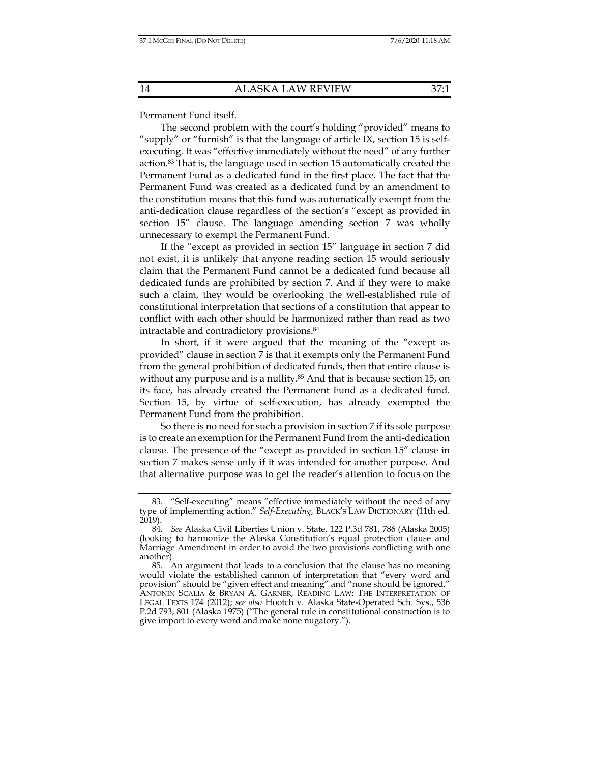Permanent Fund itself.

The second problem with the court's holding "provided" means to "supply" or "furnish" is that the language of article IX, section 15 is selfexecuting. It was "effective immediately without the need" of any further action.83 That is, the language used in section 15 automatically created the Permanent Fund as a dedicated fund in the first place. The fact that the Permanent Fund was created as a dedicated fund by an amendment to the constitution means that this fund was automatically exempt from the anti-dedication clause regardless of the section's "except as provided in section 15" clause. The language amending section 7 was wholly unnecessary to exempt the Permanent Fund.

If the "except as provided in section 15" language in section 7 did not exist, it is unlikely that anyone reading section 15 would seriously claim that the Permanent Fund cannot be a dedicated fund because all dedicated funds are prohibited by section 7. And if they were to make such a claim, they would be overlooking the well-established rule of constitutional interpretation that sections of a constitution that appear to conflict with each other should be harmonized rather than read as two intractable and contradictory provisions.84

In short, if it were argued that the meaning of the "except as provided" clause in section 7 is that it exempts only the Permanent Fund from the general prohibition of dedicated funds, then that entire clause is without any purpose and is a nullity.<sup>85</sup> And that is because section 15, on its face, has already created the Permanent Fund as a dedicated fund. Section 15, by virtue of self-execution, has already exempted the Permanent Fund from the prohibition.

So there is no need for such a provision in section 7 if its sole purpose is to create an exemption for the Permanent Fund from the anti-dedication clause. The presence of the "except as provided in section 15" clause in section 7 makes sense only if it was intended for another purpose. And that alternative purpose was to get the reader's attention to focus on the

 <sup>83. &</sup>quot;Self-executing" means "effective immediately without the need of any type of implementing action." *Self-Executing*, BLACK'S LAW DICTIONARY (11th ed. 2019).

 <sup>84.</sup> *See* Alaska Civil Liberties Union v. State, 122 P.3d 781, 786 (Alaska 2005) (looking to harmonize the Alaska Constitution's equal protection clause and Marriage Amendment in order to avoid the two provisions conflicting with one another).

 <sup>85.</sup> An argument that leads to a conclusion that the clause has no meaning would violate the established cannon of interpretation that "every word and provision" should be "given effect and meaning" and "none should be ignored." ANTONIN SCALIA & BRYAN A. GARNER, READING LAW: THE INTERPRETATION OF LEGAL TEXTS 174 (2012); *see also* Hootch v. Alaska State-Operated Sch. Sys., 536 P.2d 793, 801 (Alaska 1975) ("The general rule in constitutional construction is to give import to every word and make none nugatory.").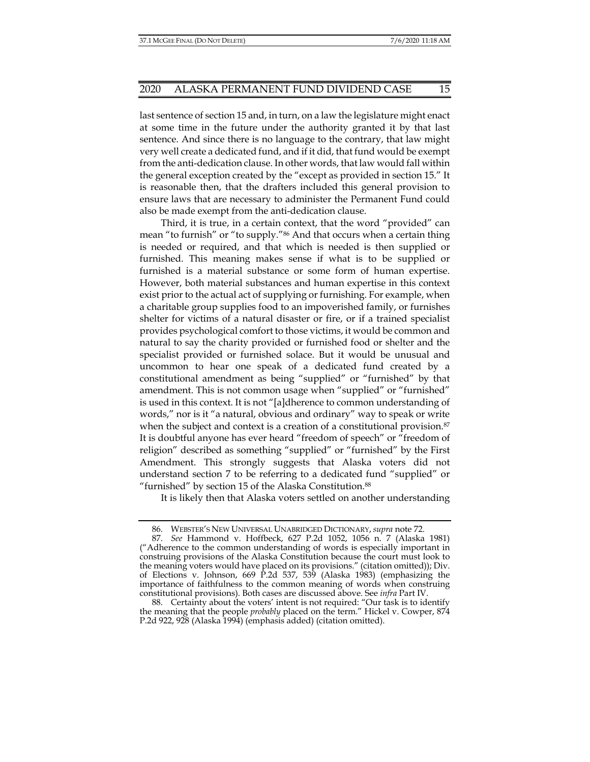last sentence of section 15 and, in turn, on a law the legislature might enact at some time in the future under the authority granted it by that last sentence. And since there is no language to the contrary, that law might very well create a dedicated fund, and if it did, that fund would be exempt from the anti-dedication clause. In other words, that law would fall within the general exception created by the "except as provided in section 15." It is reasonable then, that the drafters included this general provision to ensure laws that are necessary to administer the Permanent Fund could also be made exempt from the anti-dedication clause.

Third, it is true, in a certain context, that the word "provided" can mean "to furnish" or "to supply."86 And that occurs when a certain thing is needed or required, and that which is needed is then supplied or furnished. This meaning makes sense if what is to be supplied or furnished is a material substance or some form of human expertise. However, both material substances and human expertise in this context exist prior to the actual act of supplying or furnishing. For example, when a charitable group supplies food to an impoverished family, or furnishes shelter for victims of a natural disaster or fire, or if a trained specialist provides psychological comfort to those victims, it would be common and natural to say the charity provided or furnished food or shelter and the specialist provided or furnished solace. But it would be unusual and uncommon to hear one speak of a dedicated fund created by a constitutional amendment as being "supplied" or "furnished" by that amendment. This is not common usage when "supplied" or "furnished" is used in this context. It is not "[a]dherence to common understanding of words," nor is it "a natural, obvious and ordinary" way to speak or write when the subject and context is a creation of a constitutional provision.<sup>87</sup> It is doubtful anyone has ever heard "freedom of speech" or "freedom of religion" described as something "supplied" or "furnished" by the First Amendment. This strongly suggests that Alaska voters did not understand section 7 to be referring to a dedicated fund "supplied" or "furnished" by section 15 of the Alaska Constitution.88

It is likely then that Alaska voters settled on another understanding

 <sup>86.</sup> WEBSTER'S NEW UNIVERSAL UNABRIDGED DICTIONARY, *supra* note 72.

 <sup>87.</sup> *See* Hammond v. Hoffbeck, 627 P.2d 1052, 1056 n. 7 (Alaska 1981) ("Adherence to the common understanding of words is especially important in construing provisions of the Alaska Constitution because the court must look to the meaning voters would have placed on its provisions." (citation omitted)); Div. of Elections v. Johnson, 669 P.2d 537, 539 (Alaska 1983) (emphasizing the importance of faithfulness to the common meaning of words when construing constitutional provisions). Both cases are discussed above. See *infra* Part IV.

 <sup>88.</sup> Certainty about the voters' intent is not required: "Our task is to identify the meaning that the people *probably* placed on the term." Hickel v. Cowper, 874 P.2d 922, 928 (Alaska 1994) (emphasis added) (citation omitted).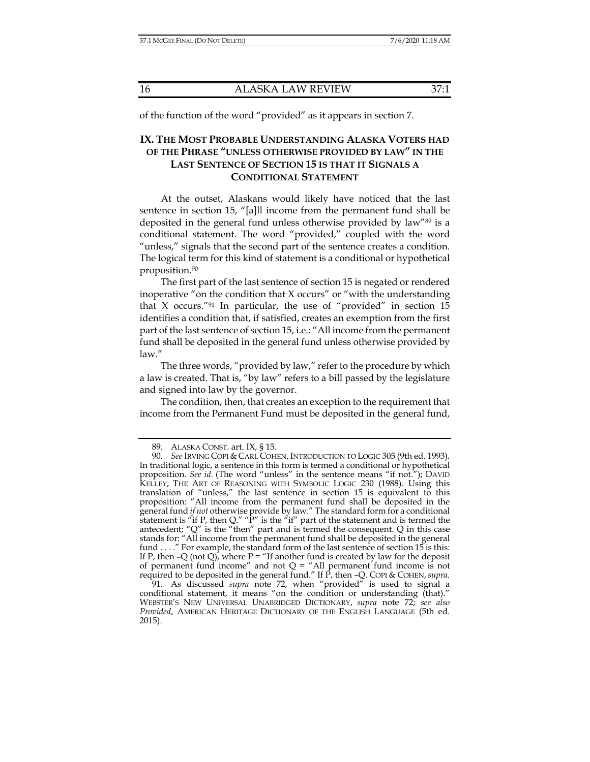of the function of the word "provided" as it appears in section 7.

## **IX. THE MOST PROBABLE UNDERSTANDING ALASKA VOTERS HAD OF THE PHRASE "UNLESS OTHERWISE PROVIDED BY LAW" IN THE LAST SENTENCE OF SECTION 15 IS THAT IT SIGNALS A CONDITIONAL STATEMENT**

At the outset, Alaskans would likely have noticed that the last sentence in section 15, "[a]ll income from the permanent fund shall be deposited in the general fund unless otherwise provided by law"89 is a conditional statement. The word "provided," coupled with the word "unless," signals that the second part of the sentence creates a condition. The logical term for this kind of statement is a conditional or hypothetical proposition.90

The first part of the last sentence of section 15 is negated or rendered inoperative "on the condition that X occurs" or "with the understanding that X occurs."91 In particular, the use of "provided" in section 15 identifies a condition that, if satisfied, creates an exemption from the first part of the last sentence of section 15, i.e.: "All income from the permanent fund shall be deposited in the general fund unless otherwise provided by law."

The three words, "provided by law," refer to the procedure by which a law is created. That is, "by law" refers to a bill passed by the legislature and signed into law by the governor.

The condition, then, that creates an exception to the requirement that income from the Permanent Fund must be deposited in the general fund,

 <sup>89.</sup> ALASKA CONST. art. IX, § 15.

 <sup>90.</sup> *See* IRVING COPI & CARL COHEN, INTRODUCTION TO LOGIC 305 (9th ed. 1993). In traditional logic, a sentence in this form is termed a conditional or hypothetical proposition. *See id.* (The word "unless" in the sentence means "if not."); DAVID KELLEY, THE ART OF REASONING WITH SYMBOLIC LOGIC 230 (1988). Using this translation of "unless," the last sentence in section 15 is equivalent to this proposition: "All income from the permanent fund shall be deposited in the general fund *if not* otherwise provide by law." The standard form for a conditional statement is "if P, then Q." "P" is the "if" part of the statement and is termed the antecedent; "Q" is the "then" part and is termed the consequent. Q in this case stands for: "All income from the permanent fund shall be deposited in the general fund . . . . " For example, the standard form of the last sentence of section 15 is this: If P, then -Q (not Q), where P = "If another fund is created by law for the deposit of permanent fund income" and not  $Q =$  "All permanent fund income is not required to be deposited in the general fund." If P, then –Q. COPI & COHEN,*supra*.

 <sup>91.</sup> As discussed *supra* note 72, when "provided" is used to signal a conditional statement, it means "on the condition or understanding (that)." WEBSTER'S NEW UNIVERSAL UNABRIDGED DICTIONARY, *supra* note 72; *see also Provided*, AMERICAN HERITAGE DICTIONARY OF THE ENGLISH LANGUAGE (5th ed. 2015).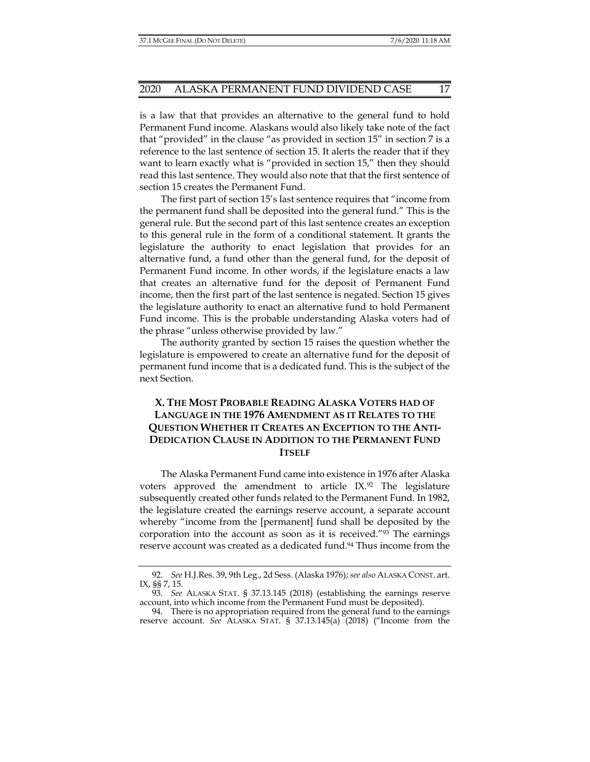is a law that that provides an alternative to the general fund to hold Permanent Fund income. Alaskans would also likely take note of the fact that "provided" in the clause "as provided in section 15" in section 7 is a reference to the last sentence of section 15. It alerts the reader that if they want to learn exactly what is "provided in section 15," then they should read this last sentence. They would also note that that the first sentence of section 15 creates the Permanent Fund.

The first part of section 15's last sentence requires that "income from the permanent fund shall be deposited into the general fund." This is the general rule. But the second part of this last sentence creates an exception to this general rule in the form of a conditional statement. It grants the legislature the authority to enact legislation that provides for an alternative fund, a fund other than the general fund, for the deposit of Permanent Fund income. In other words, if the legislature enacts a law that creates an alternative fund for the deposit of Permanent Fund income, then the first part of the last sentence is negated. Section 15 gives the legislature authority to enact an alternative fund to hold Permanent Fund income. This is the probable understanding Alaska voters had of the phrase "unless otherwise provided by law."

The authority granted by section 15 raises the question whether the legislature is empowered to create an alternative fund for the deposit of permanent fund income that is a dedicated fund. This is the subject of the next Section.

## **X. THE MOST PROBABLE READING ALASKA VOTERS HAD OF LANGUAGE IN THE 1976 AMENDMENT AS IT RELATES TO THE QUESTION WHETHER IT CREATES AN EXCEPTION TO THE ANTI-DEDICATION CLAUSE IN ADDITION TO THE PERMANENT FUND ITSELF**

The Alaska Permanent Fund came into existence in 1976 after Alaska voters approved the amendment to article  $IX<sup>92</sup>$  The legislature subsequently created other funds related to the Permanent Fund. In 1982, the legislature created the earnings reserve account, a separate account whereby "income from the [permanent] fund shall be deposited by the corporation into the account as soon as it is received."93 The earnings reserve account was created as a dedicated fund.94 Thus income from the

 <sup>92.</sup> *See* H.J.Res. 39, 9th Leg., 2d Sess. (Alaska 1976); *see also* ALASKA CONST. art. IX, §§ 7, 15.

 <sup>93.</sup> *See* ALASKA STAT. § 37.13.145 (2018) (establishing the earnings reserve account, into which income from the Permanent Fund must be deposited).

 <sup>94.</sup> There is no appropriation required from the general fund to the earnings reserve account. *See* ALASKA STAT. § 37.13.145(a) (2018) ("Income from the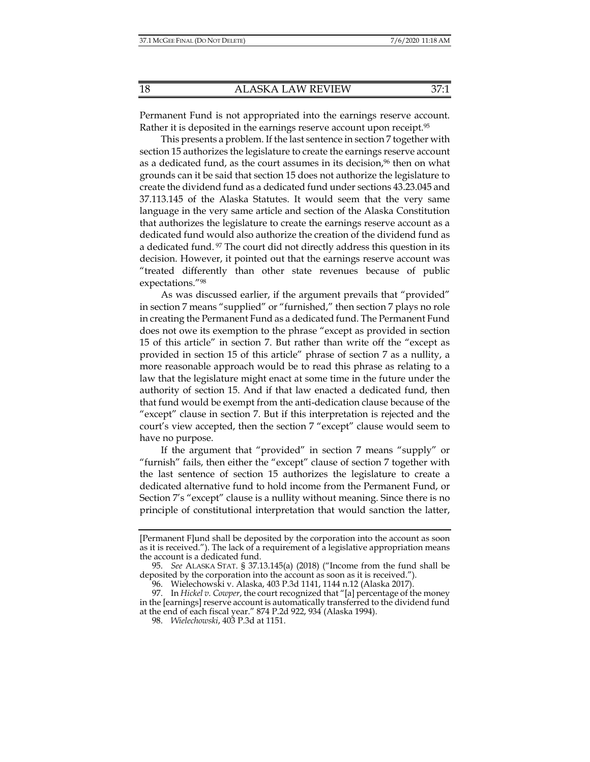Permanent Fund is not appropriated into the earnings reserve account. Rather it is deposited in the earnings reserve account upon receipt.<sup>95</sup>

This presents a problem. If the last sentence in section 7 together with section 15 authorizes the legislature to create the earnings reserve account as a dedicated fund, as the court assumes in its decision,<sup>96</sup> then on what grounds can it be said that section 15 does not authorize the legislature to create the dividend fund as a dedicated fund under sections 43.23.045 and 37.113.145 of the Alaska Statutes. It would seem that the very same language in the very same article and section of the Alaska Constitution that authorizes the legislature to create the earnings reserve account as a dedicated fund would also authorize the creation of the dividend fund as a dedicated fund. 97 The court did not directly address this question in its decision. However, it pointed out that the earnings reserve account was "treated differently than other state revenues because of public expectations."98

As was discussed earlier, if the argument prevails that "provided" in section 7 means "supplied" or "furnished," then section 7 plays no role in creating the Permanent Fund as a dedicated fund. The Permanent Fund does not owe its exemption to the phrase "except as provided in section 15 of this article" in section 7. But rather than write off the "except as provided in section 15 of this article" phrase of section 7 as a nullity, a more reasonable approach would be to read this phrase as relating to a law that the legislature might enact at some time in the future under the authority of section 15. And if that law enacted a dedicated fund, then that fund would be exempt from the anti-dedication clause because of the "except" clause in section 7. But if this interpretation is rejected and the court's view accepted, then the section 7 "except" clause would seem to have no purpose.

If the argument that "provided" in section 7 means "supply" or "furnish" fails, then either the "except" clause of section 7 together with the last sentence of section 15 authorizes the legislature to create a dedicated alternative fund to hold income from the Permanent Fund, or Section 7's "except" clause is a nullity without meaning. Since there is no principle of constitutional interpretation that would sanction the latter,

<sup>[</sup>Permanent F]und shall be deposited by the corporation into the account as soon as it is received."). The lack of a requirement of a legislative appropriation means the account is a dedicated fund.

 <sup>95.</sup> *See* ALASKA STAT. § 37.13.145(a) (2018) ("Income from the fund shall be deposited by the corporation into the account as soon as it is received.").

 <sup>96.</sup> Wielechowski v. Alaska, 403 P.3d 1141, 1144 n.12 (Alaska 2017).

 <sup>97.</sup> In *Hickel v. Cowper*, the court recognized that "[a] percentage of the money in the [earnings] reserve account is automatically transferred to the dividend fund at the end of each fiscal year." 874 P.2d 922, 934 (Alaska 1994).

 <sup>98.</sup> *Wielechowski*, 403 P.3d at 1151.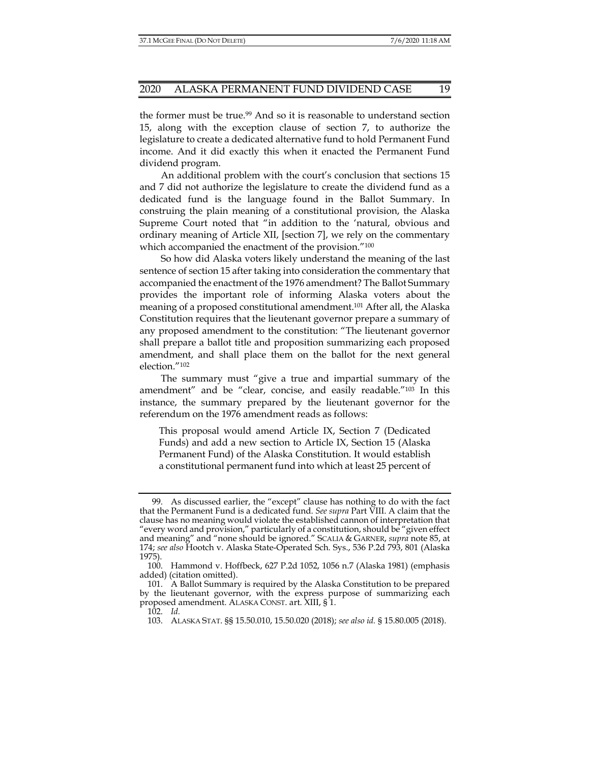the former must be true.99 And so it is reasonable to understand section 15, along with the exception clause of section 7, to authorize the legislature to create a dedicated alternative fund to hold Permanent Fund income. And it did exactly this when it enacted the Permanent Fund dividend program.

An additional problem with the court's conclusion that sections 15 and 7 did not authorize the legislature to create the dividend fund as a dedicated fund is the language found in the Ballot Summary. In construing the plain meaning of a constitutional provision, the Alaska Supreme Court noted that "in addition to the 'natural, obvious and ordinary meaning of Article XII, [section 7], we rely on the commentary which accompanied the enactment of the provision."<sup>100</sup>

So how did Alaska voters likely understand the meaning of the last sentence of section 15 after taking into consideration the commentary that accompanied the enactment of the 1976 amendment? The Ballot Summary provides the important role of informing Alaska voters about the meaning of a proposed constitutional amendment.101 After all, the Alaska Constitution requires that the lieutenant governor prepare a summary of any proposed amendment to the constitution: "The lieutenant governor shall prepare a ballot title and proposition summarizing each proposed amendment, and shall place them on the ballot for the next general election."102

The summary must "give a true and impartial summary of the amendment" and be "clear, concise, and easily readable."103 In this instance, the summary prepared by the lieutenant governor for the referendum on the 1976 amendment reads as follows:

This proposal would amend Article IX, Section 7 (Dedicated Funds) and add a new section to Article IX, Section 15 (Alaska Permanent Fund) of the Alaska Constitution. It would establish a constitutional permanent fund into which at least 25 percent of

 <sup>99.</sup> As discussed earlier, the "except" clause has nothing to do with the fact that the Permanent Fund is a dedicated fund. *See supra* Part VIII. A claim that the clause has no meaning would violate the established cannon of interpretation that "every word and provision," particularly of a constitution, should be "given effect and meaning" and "none should be ignored." SCALIA & GARNER, *supra* note 85, at 174; *see also* Hootch v. Alaska State-Operated Sch. Sys., 536 P.2d 793, 801 (Alaska 1975).

 <sup>100.</sup> Hammond v. Hoffbeck, 627 P.2d 1052, 1056 n.7 (Alaska 1981) (emphasis added) (citation omitted).

 <sup>101.</sup> A Ballot Summary is required by the Alaska Constitution to be prepared by the lieutenant governor, with the express purpose of summarizing each proposed amendment. ALASKA CONST. art. XIII, § 1.

 <sup>102.</sup> *Id.*

 <sup>103.</sup> ALASKA STAT. §§ 15.50.010, 15.50.020 (2018); *see also id.* § 15.80.005 (2018).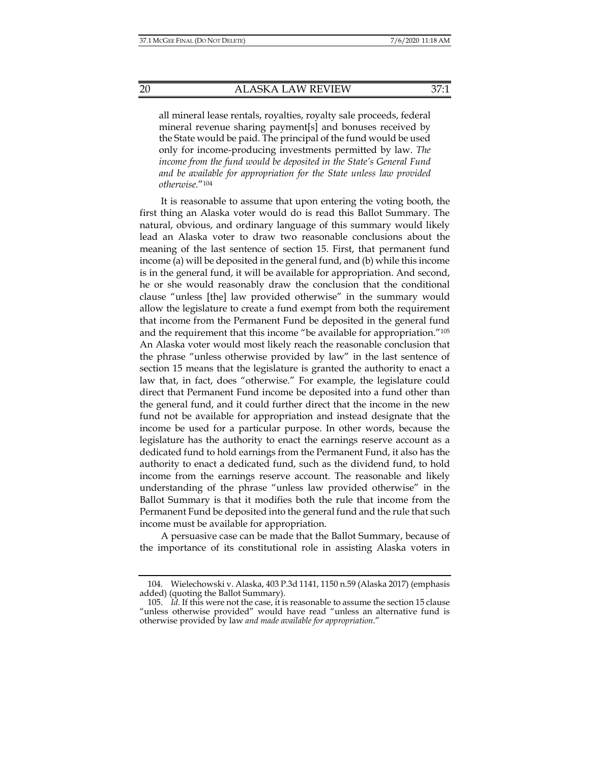all mineral lease rentals, royalties, royalty sale proceeds, federal mineral revenue sharing payment[s] and bonuses received by the State would be paid. The principal of the fund would be used only for income-producing investments permitted by law. *The income from the fund would be deposited in the State's General Fund and be available for appropriation for the State unless law provided otherwise.*"104

It is reasonable to assume that upon entering the voting booth, the first thing an Alaska voter would do is read this Ballot Summary. The natural, obvious, and ordinary language of this summary would likely lead an Alaska voter to draw two reasonable conclusions about the meaning of the last sentence of section 15. First, that permanent fund income (a) will be deposited in the general fund, and (b) while this income is in the general fund, it will be available for appropriation. And second, he or she would reasonably draw the conclusion that the conditional clause "unless [the] law provided otherwise" in the summary would allow the legislature to create a fund exempt from both the requirement that income from the Permanent Fund be deposited in the general fund and the requirement that this income "be available for appropriation."105 An Alaska voter would most likely reach the reasonable conclusion that the phrase "unless otherwise provided by law" in the last sentence of section 15 means that the legislature is granted the authority to enact a law that, in fact, does "otherwise." For example, the legislature could direct that Permanent Fund income be deposited into a fund other than the general fund, and it could further direct that the income in the new fund not be available for appropriation and instead designate that the income be used for a particular purpose. In other words, because the legislature has the authority to enact the earnings reserve account as a dedicated fund to hold earnings from the Permanent Fund, it also has the authority to enact a dedicated fund, such as the dividend fund, to hold income from the earnings reserve account. The reasonable and likely understanding of the phrase "unless law provided otherwise" in the Ballot Summary is that it modifies both the rule that income from the Permanent Fund be deposited into the general fund and the rule that such income must be available for appropriation.

A persuasive case can be made that the Ballot Summary, because of the importance of its constitutional role in assisting Alaska voters in

 <sup>104.</sup> Wielechowski v. Alaska, 403 P.3d 1141, 1150 n.59 (Alaska 2017) (emphasis added) (quoting the Ballot Summary).

 <sup>105.</sup> *Id.* If this were not the case, it is reasonable to assume the section 15 clause "unless otherwise provided" would have read "unless an alternative fund is otherwise provided by law *and made available for appropriation*."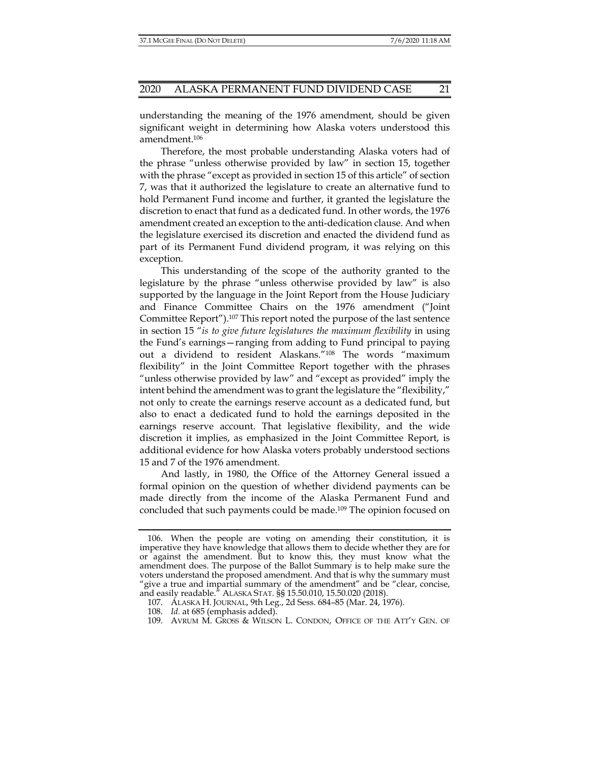understanding the meaning of the 1976 amendment, should be given significant weight in determining how Alaska voters understood this amendment.106

Therefore, the most probable understanding Alaska voters had of the phrase "unless otherwise provided by law" in section 15, together with the phrase "except as provided in section 15 of this article" of section 7, was that it authorized the legislature to create an alternative fund to hold Permanent Fund income and further, it granted the legislature the discretion to enact that fund as a dedicated fund. In other words, the 1976 amendment created an exception to the anti-dedication clause. And when the legislature exercised its discretion and enacted the dividend fund as part of its Permanent Fund dividend program, it was relying on this exception.

This understanding of the scope of the authority granted to the legislature by the phrase "unless otherwise provided by law" is also supported by the language in the Joint Report from the House Judiciary and Finance Committee Chairs on the 1976 amendment ("Joint Committee Report").107 This report noted the purpose of the last sentence in section 15 "*is to give future legislatures the maximum flexibility* in using the Fund's earnings—ranging from adding to Fund principal to paying out a dividend to resident Alaskans."108 The words "maximum flexibility" in the Joint Committee Report together with the phrases "unless otherwise provided by law" and "except as provided" imply the intent behind the amendment was to grant the legislature the "flexibility," not only to create the earnings reserve account as a dedicated fund, but also to enact a dedicated fund to hold the earnings deposited in the earnings reserve account. That legislative flexibility, and the wide discretion it implies, as emphasized in the Joint Committee Report, is additional evidence for how Alaska voters probably understood sections 15 and 7 of the 1976 amendment.

And lastly, in 1980, the Office of the Attorney General issued a formal opinion on the question of whether dividend payments can be made directly from the income of the Alaska Permanent Fund and concluded that such payments could be made.109 The opinion focused on

 <sup>106.</sup> When the people are voting on amending their constitution, it is imperative they have knowledge that allows them to decide whether they are for or against the amendment. But to know this, they must know what the amendment does. The purpose of the Ballot Summary is to help make sure the voters understand the proposed amendment. And that is why the summary must "give a true and impartial summary of the amendment" and be "clear, concise, and easily readable." ALASKA STAT. §§ 15.50.010, 15.50.020 (2018).

 <sup>107.</sup> ALASKA H. JOURNAL, 9th Leg., 2d Sess. 684–85 (Mar. 24, 1976).

 <sup>108.</sup> *Id.* at 685 (emphasis added).

 <sup>109.</sup> AVRUM M. GROSS & WILSON L. CONDON, OFFICE OF THE ATT'Y GEN. OF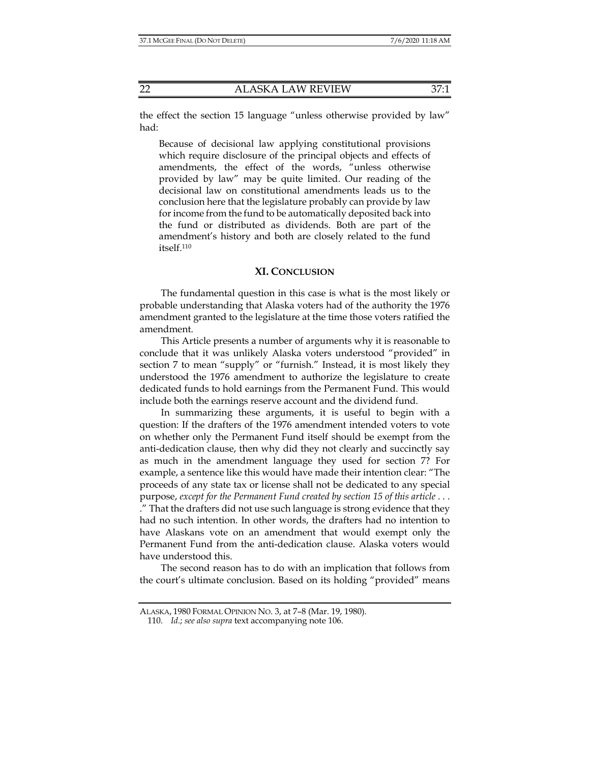the effect the section 15 language "unless otherwise provided by law" had:

Because of decisional law applying constitutional provisions which require disclosure of the principal objects and effects of amendments, the effect of the words, "unless otherwise provided by law" may be quite limited. Our reading of the decisional law on constitutional amendments leads us to the conclusion here that the legislature probably can provide by law for income from the fund to be automatically deposited back into the fund or distributed as dividends. Both are part of the amendment's history and both are closely related to the fund itself.110

#### **XI. CONCLUSION**

The fundamental question in this case is what is the most likely or probable understanding that Alaska voters had of the authority the 1976 amendment granted to the legislature at the time those voters ratified the amendment.

This Article presents a number of arguments why it is reasonable to conclude that it was unlikely Alaska voters understood "provided" in section 7 to mean "supply" or "furnish." Instead, it is most likely they understood the 1976 amendment to authorize the legislature to create dedicated funds to hold earnings from the Permanent Fund. This would include both the earnings reserve account and the dividend fund.

In summarizing these arguments, it is useful to begin with a question: If the drafters of the 1976 amendment intended voters to vote on whether only the Permanent Fund itself should be exempt from the anti-dedication clause, then why did they not clearly and succinctly say as much in the amendment language they used for section 7? For example, a sentence like this would have made their intention clear: "The proceeds of any state tax or license shall not be dedicated to any special purpose, *except for the Permanent Fund created by section 15 of this article* . . . ." That the drafters did not use such language is strong evidence that they had no such intention. In other words, the drafters had no intention to have Alaskans vote on an amendment that would exempt only the Permanent Fund from the anti-dedication clause. Alaska voters would have understood this.

The second reason has to do with an implication that follows from the court's ultimate conclusion. Based on its holding "provided" means

ALASKA, 1980 FORMAL OPINION NO. 3, at 7–8 (Mar. 19, 1980).

 <sup>110.</sup> *Id.*; *see also supra* text accompanying note 106.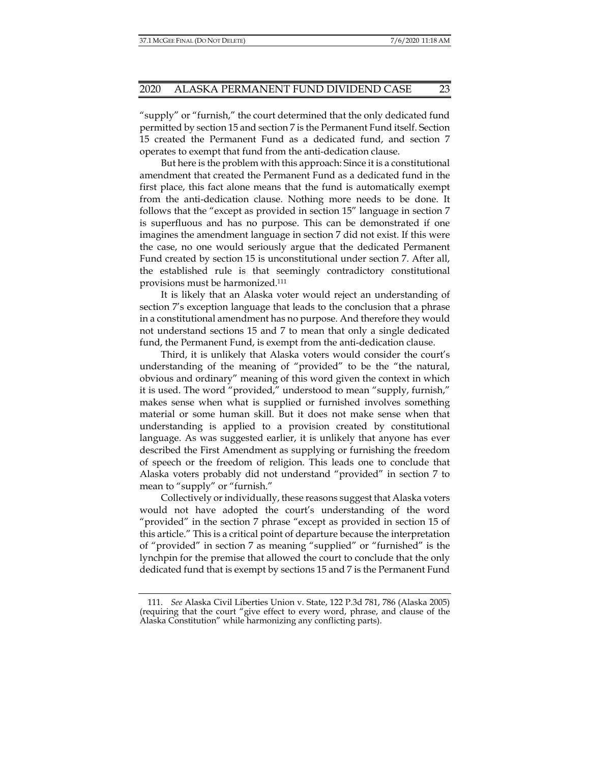"supply" or "furnish," the court determined that the only dedicated fund permitted by section 15 and section 7 is the Permanent Fund itself. Section 15 created the Permanent Fund as a dedicated fund, and section 7 operates to exempt that fund from the anti-dedication clause.

But here is the problem with this approach: Since it is a constitutional amendment that created the Permanent Fund as a dedicated fund in the first place, this fact alone means that the fund is automatically exempt from the anti-dedication clause. Nothing more needs to be done. It follows that the "except as provided in section 15" language in section 7 is superfluous and has no purpose. This can be demonstrated if one imagines the amendment language in section 7 did not exist. If this were the case, no one would seriously argue that the dedicated Permanent Fund created by section 15 is unconstitutional under section 7. After all, the established rule is that seemingly contradictory constitutional provisions must be harmonized.111

It is likely that an Alaska voter would reject an understanding of section 7's exception language that leads to the conclusion that a phrase in a constitutional amendment has no purpose. And therefore they would not understand sections 15 and 7 to mean that only a single dedicated fund, the Permanent Fund, is exempt from the anti-dedication clause.

Third, it is unlikely that Alaska voters would consider the court's understanding of the meaning of "provided" to be the "the natural, obvious and ordinary" meaning of this word given the context in which it is used. The word "provided," understood to mean "supply, furnish," makes sense when what is supplied or furnished involves something material or some human skill. But it does not make sense when that understanding is applied to a provision created by constitutional language. As was suggested earlier, it is unlikely that anyone has ever described the First Amendment as supplying or furnishing the freedom of speech or the freedom of religion. This leads one to conclude that Alaska voters probably did not understand "provided" in section 7 to mean to "supply" or "furnish."

Collectively or individually, these reasons suggest that Alaska voters would not have adopted the court's understanding of the word "provided" in the section 7 phrase "except as provided in section 15 of this article." This is a critical point of departure because the interpretation of "provided" in section 7 as meaning "supplied" or "furnished" is the lynchpin for the premise that allowed the court to conclude that the only dedicated fund that is exempt by sections 15 and 7 is the Permanent Fund

 <sup>111.</sup> *See* Alaska Civil Liberties Union v. State, 122 P.3d 781, 786 (Alaska 2005) (requiring that the court "give effect to every word, phrase, and clause of the Alaska Constitution" while harmonizing any conflicting parts).